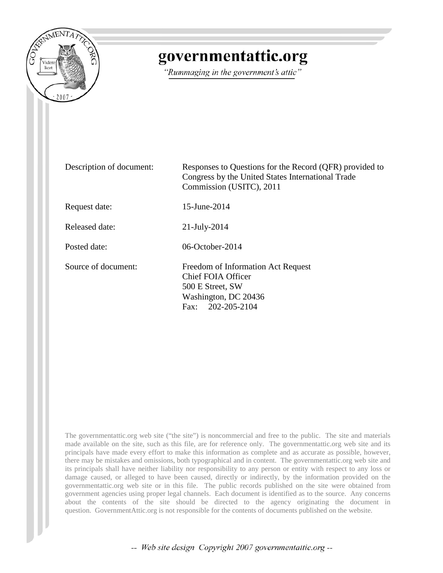

# governmentattic.org

"Rummaging in the government's attic"

| Description of document: | Responses to Questions for the Record (QFR) provided to<br>Congress by the United States International Trade<br>Commission (USITC), 2011 |
|--------------------------|------------------------------------------------------------------------------------------------------------------------------------------|
| Request date:            | $15$ -June-2014                                                                                                                          |
| Released date:           | $21$ -July-2014                                                                                                                          |
| Posted date:             | 06-October-2014                                                                                                                          |
| Source of document:      | Freedom of Information Act Request<br><b>Chief FOIA Officer</b><br>500 E Street, SW<br>Washington, DC 20436<br>Fax: $202-205-2104$       |

The governmentattic.org web site ("the site") is noncommercial and free to the public. The site and materials made available on the site, such as this file, are for reference only. The governmentattic.org web site and its principals have made every effort to make this information as complete and as accurate as possible, however, there may be mistakes and omissions, both typographical and in content. The governmentattic.org web site and its principals shall have neither liability nor responsibility to any person or entity with respect to any loss or damage caused, or alleged to have been caused, directly or indirectly, by the information provided on the governmentattic.org web site or in this file. The public records published on the site were obtained from government agencies using proper legal channels. Each document is identified as to the source. Any concerns about the contents of the site should be directed to the agency originating the document in question. GovernmentAttic.org is not responsible for the contents of documents published on the website.

-- Web site design Copyright 2007 governmentattic.org --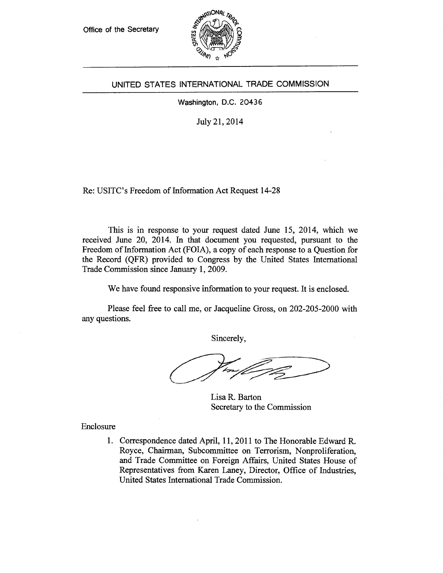Office of the Secretary



## UNITED STATES INTERNATIONAL TRADE COMMISSION

Washington, D.C. 20436

July 21, 2014

Re: USITC's Freedom of Information Act Request 14-28

This is in response to your request dated June 15, 2014, which we received June 20, 2014. In that document you requested, pursuant to the Freedom of Information Act (FOIA), a copy of each response to a Question for the Record (QFR) provided to Congress by the United States International Trade Commission since January 1, 2009.

We have found responsive information to your request. It is enclosed.

Please feel free to call me, or Jacqueline Gross, on 202-205-2000 with any questions.

Sincerely,

Lisa R. Barton Secretary to the Commission

Enclosure

1. Correspondence dated April, 11, 2011 to The Honorable Edward R. Royce, Chairman, Subcommittee on Terrorism, Nonproliferation, and Trade Committee on Foreign Affairs, United States House of Representatives from Karen Laney, Director, Office of Industries, United States International Trade Commission.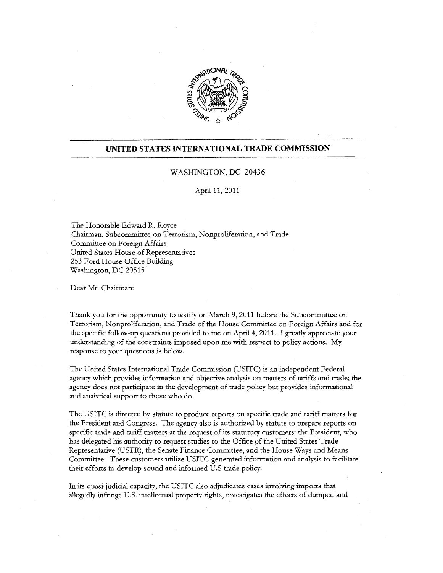

## **UNITED STATES INTERNATIONAL TRADE COMMISSION**

### WASHINGTON, DC 20436

#### April 11, 2011

The Honorable Edward R. Royce Chairman, Subcommittee on Terrorism, Nonproliferation, and Trade Committee on Foreign Affairs United States House of Representatives 253 Ford House Office Building Washington, DC 20515

Dear Mr. Chairman:

Thank you for the opportunity to testify on March 9, 2011 before the Subcommittee on Terrorism, Nonproliferation, and Trade of the House Committee on Foreign Affairs and for the specific follow-up questions provided to me on April 4, 2011. I greatly appreciate your understanding of the constraints imposed upon me with respect to policy actions. My response to your questions is below.

The United States International Trade Commission (USITC) is an independent Federal agency which provides infonnation and objective analysis on matters of tariffs and trade; the agency does not participate in the development of trade policy but provides informational and analytical support to those who do.

The USITC is directed by statute to produce reports on specific trade and tariff matters for the President and Congress. The agency also is authorized by statute to prepare reports on specific trade and tariff matters at the request of its statutory customers: the President, who has delegated his authority to request studies to the Office of the United States Trade Representative (USTR), the Senate Finance Committee, and the House Ways and Means Committee. These customers utilize. USITC-generated information and analysis to facilitate their efforts to develop sound and informed U .S trade policy.

In its quasi-judicial capacity, the USITC also adjudicates cases involving imports that allegedly infringe U.S. intellectual property rights, investigates the effects of dumped and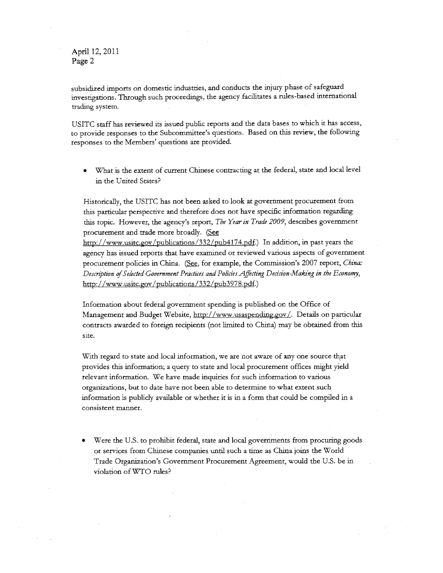**April** 12, 2011 **Page** 2

subsidized imports on domestic industries, and conducts the injury phase of safeguard investigations. Through such proceedings, the agency facilitates a rules-based international trading system.

USITC staff has reviewed its issued public reports and the data bases to which it has access, to provide responses to the Subcommittee's questions. Based on this review, the following responses to the Members' questions are provided.

• What is the extent of current Chinese contracting at the federal, state and local level in the United States?

Historically, the USITC has not been asked to look at government procurement from this particular perspective and therefore does not have specific information regarding this topic. However, the agency's report, *The Year in Trade 2009,* describes government procurement and trade more broadly. (See

http://www.usitc.gov/publications/332/pub4174.pdf.) In addition, in past years the agency has issued reports that have examined or reviewed various aspects of government procurement policies in China. (See, for example, the Commission's 2007 report, *China*: *Description* ef *Selected Government Practices and Policies Affecting Decision-Making in the Economy,*  http://www.usitc.gov/publications /332/pub3978.pdf.)

Information about federal government spending is published on the Office of Management and Budget Website, http://www.usaspending.gov/. Details on particular contracts awarded to foreign recipients (not limited to China) may be obtained from this site.

With regard to state and local information, we are not aware of any one source that provides this information; a query to state and local procurement offices might yield relevant information. We have made inquiries for such information to various organizations, but to date have not been able to determine to what extent such information is publicly available or whether it is in a form that could be compiled in a consistent manner.

• Were the U.S. to prohibit federal, state and local governments from procuring goods or services from Chinese companies until such a time as China joins the World Trade Organization's Government Procurement Agreement, would the U.S. be in violation of *WTO* rules?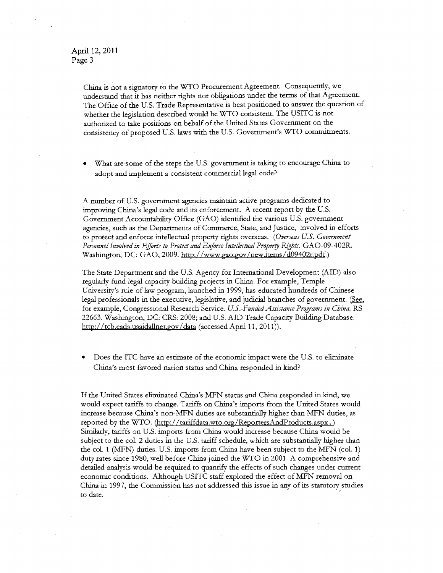China is not a signatory to the WTO Procurement Agreement. Consequently, we understand that it has neither rights nor obligations under the terms of that Agreement. The Office of the U.S. Trade Representative is best positioned to answer the question of whether the legislation described would be WTO consistent. The USITC is not authorized to take positions on behalf of the United States Government on the consistency of proposed U.S. laws with the U.S. Government's WTO commitments.

What are some of the steps the U.S. government is taking to encourage China to adopt and implement a consistent commercial legal code?

A number of U.S. government agencies maintain active programs dedicated to improving China's legal code and its enforcement. A recent report by the U.S. Government Accountability Office (GAO) identified the various U.S. government agencies, such as the Departments of Commerce, State, and Justice, involved in efforts to protect and enforce intellectual property rights overseas. *(Overseas U.S. Government*  Personnel Involved in Efforts to Protect and Enforce Intellectual Property Rights. GAO-09-402R. Washington, DC: GAO, 2009. http://www.gao.gov/new.items/d09402r.pdf.)

The State Department and the U.S. Agency for International Development (AID) also regularly fund legal capacity building projects in China. For example, Temple University's rule of law program, launched in 1999, has educated hundreds of Chinese legal professionals in the executive, legislative, and judicial branches of government. (See, for example, Congressional Research Service. *U.S.-FundedAssistance Programs in China.* RS 22663. Washington, DC: CRS: 2008; and U.S. AID Trade Capacity Building Database. http://tcb.eads.usaidallnet.gov/data (accessed April 11, 2011)).

• Does the ITC have an estimate of the economic impact were the U.S. to eliminate China's most favored nation status and China responded in kind?

If the United States eliminated China's MFN status and China responded in kind, we would expect tariffs to change. Tariffs on China's imports from the United States would increase because China's non-MFN duties are substantially higher than MFN duties, as reported by the WTO. (http://tariffdata.wto.org/Reporters.AndProducts.aspx.) Similarly, tariffs on U.S. imports from China would increase because China would be subject to the col. 2 duties in the U.S. tariff schedule, which are substantially higher than the col. 1 (MFN) duties. U.S. imports from China have been subject to the MFN (col. 1) duty rates since 1980, well before China joined the WTO in 2001. A comprehensive and detailed analysis would be required to quantify the effects of such changes under current economic conditions. Although USITC staff explored the effect of MFN removal on China in 1997, the Commission has not addressed this issue in any of its statutory studies to date.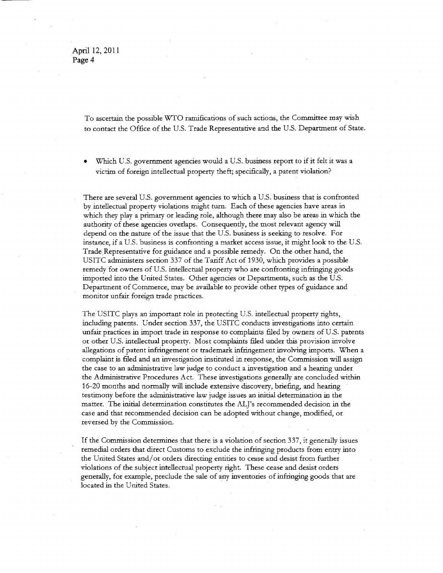April 12, 2011 Page 4

> To ascertain the possible \VfO ramifications of such actions, the Committee may wish to contact the Office of the U.S. Trade Representative and the U.S. Department of State.

Which U.S. government agencies would a U.S. business report to if it felt it was a victim of foreign intellectual property theft; specifically, a patent violation?

There are several U.S. government agencies to which a U.S. business that is confronted by intellectual property violations might turn. Each of these agencies have areas in which they play a primary or leading role, although there may also be areas in which the authority of these agencies overlaps. Consequently, the most relevant agency will depend on the nature of the *issue* that the U.S. business is seeking to resolve. For instance, if a U.S. business is confronting a market access issue, it might look to the U.S. Trade Representative for guidance and a possible remedy. On the other hand, the USITC administers section 337 of the Tariff Act of 1930, which provides a possible remedy for owners of U.S. intellectual property who are confronting infringing goods imported into the United States. Other agencies or Departments, such as the U.S. Department of Commerce, may be available to provide other types of guidance and monitor unfair foreign trade practices.

The USITC plays an important role in protecting U.S. intellectual property rights, including patents. Under section 337, the USITC conducts investigations into certain unfair practices in import trade in response to complaints filed by owners of U.S. patents or other U.S. intellectual property. Most complaints filed under this provision involve allegations of patent infringement or trademark infringement involving imports. When a complaint is filed and an investigation instituted in response, the Commission will assign the case to an administrative law judge to conduct a investigation and a hearing under the Administrative Procedures Act. These investigations generally are concluded within 16-20 months and normally will include extensive discovery, briefing, and hearing testimony before the administrative law judge issues an initial determination in the matter. The initial determination constitutes the AL J's recommended decision in the case and that recommended decision can be adopted without change, modified, or reversed by the Commission.

If the Commission determines that there is a violation of section 337, it generally issues remedial orders that direct Customs to exclude the infringing products from entry into the United States and/ or orders directing entities to cease and desist from further violations of the subject intellectual property right. These cease and desist orders generally, for example, preclude the sale of any inventories of infringing goods that are located in the United States.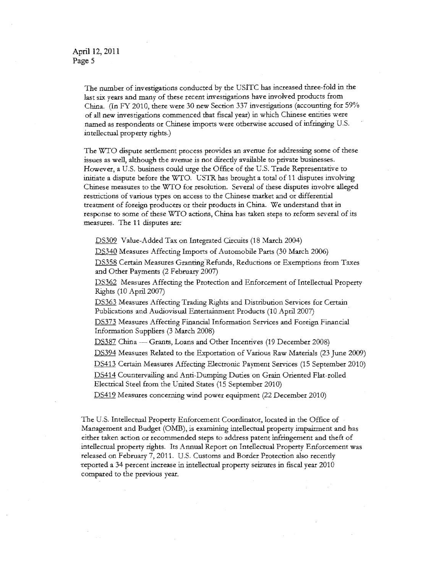April 12, 2011 Page 5

> The number of investigations conducted by the USITC has increased three-fold in the last six years and many of these recent investigations have involved products from China. (In FY 2010, there were 30 new Section 337 investigations (accounting for 59% of all new investigations commenced that fiscal year) in which Chinese entities were named as respondents or Chinese imports were otherwise accused of infringing U.S. intellectual property rights.)

> The WTO dispute settlement process provides an avenue for addressing some of these issues as well, although the avenue is not directly available to private businesses. However, a U.S. business could urge the Office of the U.S. Trade Representative to initiate a dispute before the WfO. CSTR has brought a total of 11 disputes involving Chinese measures to the WfO for resolution. Several of these disputes involve alleged restrictions of various types on access to the Chinese market and or differential treatment of foreign producers or their products in China. We understand that in response to some of these WTO actions, China has taken steps to reform several of its measures. The 11 disputes are:

DS309 Value-Added Tax on Integrated Circuits (18 March 2004)

DS340 Measures Affecting Imports of Automobile Parts (30 March 2006)

DS358 Certain Measures Granting'Refunds, Reductions or Exemptions from Taxes and Other Payments (2 February 2007)

DS362 Measures Affecting the Protection and Enforcement of Intellectual Property Rights (10 April 2007)

DS363 Measures Affecting Trading Rights and Distribution Services for Certain Publications and Audiovisual Entertainment Products (10 April 2007)

DS373 Measures Affecting Financial Information Services and Foreign Financial Information Suppliers (3 March 2008)

DS387 China - Grants, Loans and Other Incentives (19 December 2008)

DS394 Measures Related to the Exportation of Various Raw Materials (23 June 2009)

DS413 Certain Measures Affecting Electronic Payment Services (15 September 2010)

DS414 Countervailing and Anti-Dumping Duties on Grain Oriented Flat-rolled Electrical Steel from the United States (15 September 2010)

DS419 Measures concerning wind power equipment (22 December 2010)

The U.S. Intellectual Property Enforcement Coordinator, located in the Office of Management and Budget (OMB), is examining intellectual property impairment and has either taken action or recommended steps to address patent infringement and theft of intellectual property rights. Its Annual Report on Intellectual Property Enforcement was released on February 7, 2011. U.S. Customs and Border Protection also recently reported a 34 percent increase in intellectual property seizures in fiscal year 2010 compared to the previous year.